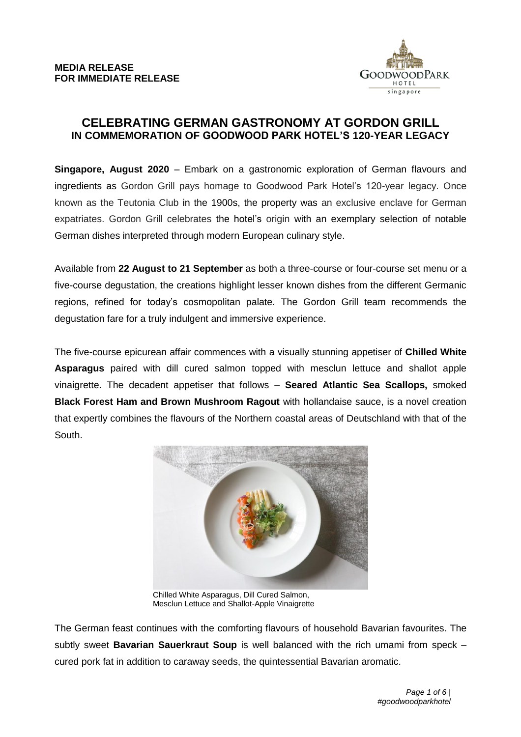

## **CELEBRATING GERMAN GASTRONOMY AT GORDON GRILL IN COMMEMORATION OF GOODWOOD PARK HOTEL'S 120-YEAR LEGACY**

**Singapore, August 2020** – Embark on a gastronomic exploration of German flavours and ingredients as Gordon Grill pays homage to Goodwood Park Hotel's 120-year legacy. Once known as the Teutonia Club in the 1900s, the property was an exclusive enclave for German expatriates. Gordon Grill celebrates the hotel's origin with an exemplary selection of notable German dishes interpreted through modern European culinary style.

Available from **22 August to 21 September** as both a three-course or four-course set menu or a five-course degustation, the creations highlight lesser known dishes from the different Germanic regions, refined for today's cosmopolitan palate. The Gordon Grill team recommends the degustation fare for a truly indulgent and immersive experience.

The five-course epicurean affair commences with a visually stunning appetiser of **Chilled White Asparagus** paired with dill cured salmon topped with mesclun lettuce and shallot apple vinaigrette. The decadent appetiser that follows – **Seared Atlantic Sea Scallops,** smoked **Black Forest Ham and Brown Mushroom Ragout** with hollandaise sauce, is a novel creation that expertly combines the flavours of the Northern coastal areas of Deutschland with that of the South.



Chilled White Asparagus, Dill Cured Salmon, Mesclun Lettuce and Shallot-Apple Vinaigrette

The German feast continues with the comforting flavours of household Bavarian favourites. The subtly sweet **Bavarian Sauerkraut Soup** is well balanced with the rich umami from speck – cured pork fat in addition to caraway seeds, the quintessential Bavarian aromatic.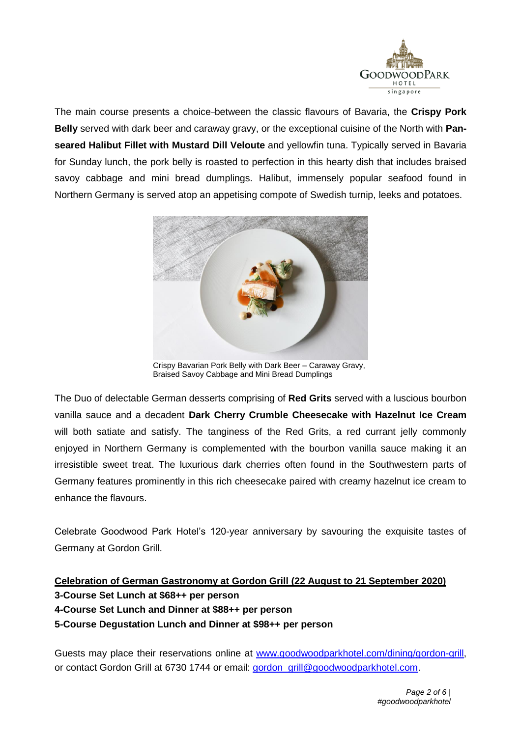

The main course presents a choice between the classic flavours of Bavaria, the **Crispy Pork Belly** served with dark beer and caraway gravy, or the exceptional cuisine of the North with **Panseared Halibut Fillet with Mustard Dill Veloute** and yellowfin tuna. Typically served in Bavaria for Sunday lunch, the pork belly is roasted to perfection in this hearty dish that includes braised savoy cabbage and mini bread dumplings. Halibut, immensely popular seafood found in Northern Germany is served atop an appetising compote of Swedish turnip, leeks and potatoes.



Crispy Bavarian Pork Belly with Dark Beer – Caraway Gravy, Braised Savoy Cabbage and Mini Bread Dumplings

The Duo of delectable German desserts comprising of **Red Grits** served with a luscious bourbon vanilla sauce and a decadent **Dark Cherry Crumble Cheesecake with Hazelnut Ice Cream** will both satiate and satisfy. The tanginess of the Red Grits, a red currant jelly commonly enjoyed in Northern Germany is complemented with the bourbon vanilla sauce making it an irresistible sweet treat. The luxurious dark cherries often found in the Southwestern parts of Germany features prominently in this rich cheesecake paired with creamy hazelnut ice cream to enhance the flavours.

Celebrate Goodwood Park Hotel's 120-year anniversary by savouring the exquisite tastes of Germany at Gordon Grill.

# **Celebration of German Gastronomy at Gordon Grill (22 August to 21 September 2020) 3-Course Set Lunch at \$68++ per person 4-Course Set Lunch and Dinner at \$88++ per person 5-Course Degustation Lunch and Dinner at \$98++ per person**

Guests may place their reservations online at [www.goodwoodparkhotel.com/dining/gordon-grill,](https://www.goodwoodparkhotel.com/dining/gordon-grill) or contact Gordon Grill at 6730 1744 or email: [gordon\\_grill@goodwoodparkhotel.com.](mailto:gordon_grill@goodwoodparkhotel.com)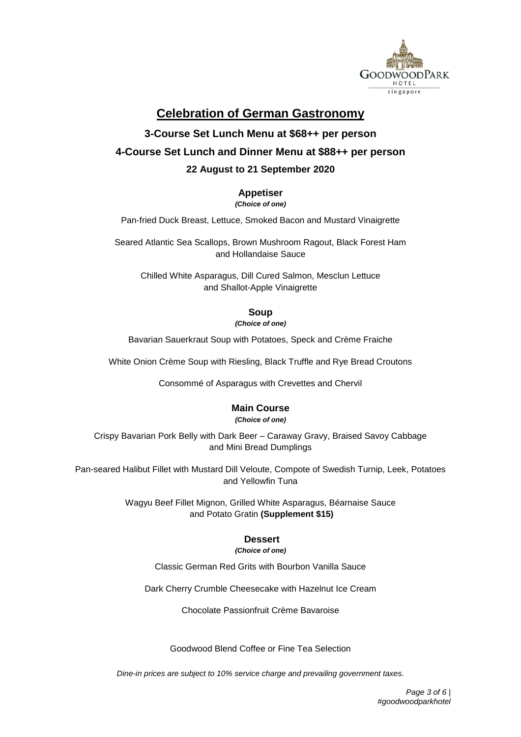

# **Celebration of German Gastronomy**

# **3-Course Set Lunch Menu at \$68++ per person 4-Course Set Lunch and Dinner Menu at \$88++ per person 22 August to 21 September 2020**

#### **Appetiser**

*(Choice of one)*

Pan-fried Duck Breast, Lettuce, Smoked Bacon and Mustard Vinaigrette

Seared Atlantic Sea Scallops, Brown Mushroom Ragout, Black Forest Ham and Hollandaise Sauce

Chilled White Asparagus, Dill Cured Salmon, Mesclun Lettuce and Shallot-Apple Vinaigrette

#### **Soup**

*(Choice of one)*

Bavarian Sauerkraut Soup with Potatoes, Speck and Crème Fraiche

White Onion Crème Soup with Riesling, Black Truffle and Rye Bread Croutons

Consommé of Asparagus with Crevettes and Chervil

#### **Main Course**

*(Choice of one)*

Crispy Bavarian Pork Belly with Dark Beer – Caraway Gravy, Braised Savoy Cabbage and Mini Bread Dumplings

Pan-seared Halibut Fillet with Mustard Dill Veloute, Compote of Swedish Turnip, Leek, Potatoes and Yellowfin Tuna

> Wagyu Beef Fillet Mignon, Grilled White Asparagus, Béarnaise Sauce and Potato Gratin **(Supplement \$15)**

### **Dessert**

*(Choice of one)*

Classic German Red Grits with Bourbon Vanilla Sauce

Dark Cherry Crumble Cheesecake with Hazelnut Ice Cream

Chocolate Passionfruit Crème Bavaroise

Goodwood Blend Coffee or Fine Tea Selection

*Dine-in prices are subject to 10% service charge and prevailing government taxes.*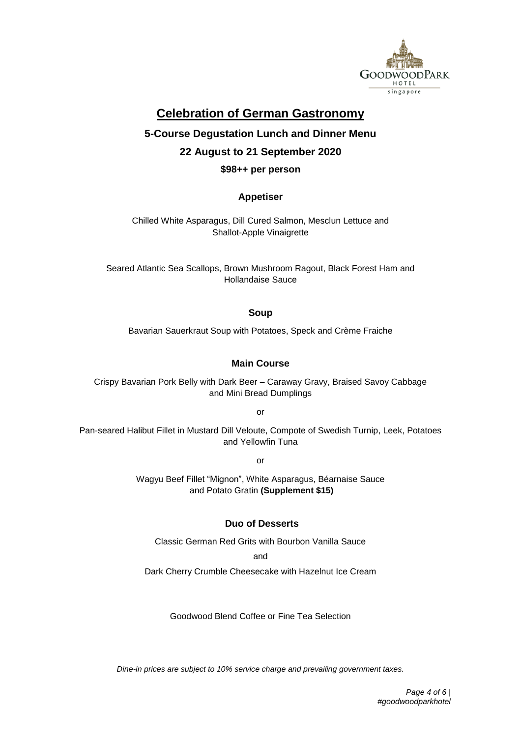

# **Celebration of German Gastronomy**

# **5-Course Degustation Lunch and Dinner Menu 22 August to 21 September 2020**

#### **\$98++ per person**

#### **Appetiser**

Chilled White Asparagus, Dill Cured Salmon, Mesclun Lettuce and Shallot-Apple Vinaigrette

Seared Atlantic Sea Scallops, Brown Mushroom Ragout, Black Forest Ham and Hollandaise Sauce

**Soup**

Bavarian Sauerkraut Soup with Potatoes, Speck and Crème Fraiche

#### **Main Course**

Crispy Bavarian Pork Belly with Dark Beer – Caraway Gravy, Braised Savoy Cabbage and Mini Bread Dumplings

or

Pan-seared Halibut Fillet in Mustard Dill Veloute, Compote of Swedish Turnip, Leek, Potatoes and Yellowfin Tuna

or

Wagyu Beef Fillet "Mignon", White Asparagus, Béarnaise Sauce and Potato Gratin **(Supplement \$15)**

#### **Duo of Desserts**

Classic German Red Grits with Bourbon Vanilla Sauce

and

Dark Cherry Crumble Cheesecake with Hazelnut Ice Cream

Goodwood Blend Coffee or Fine Tea Selection

*Dine-in prices are subject to 10% service charge and prevailing government taxes.*

 *Page 4 of 6 | #goodwoodparkhotel*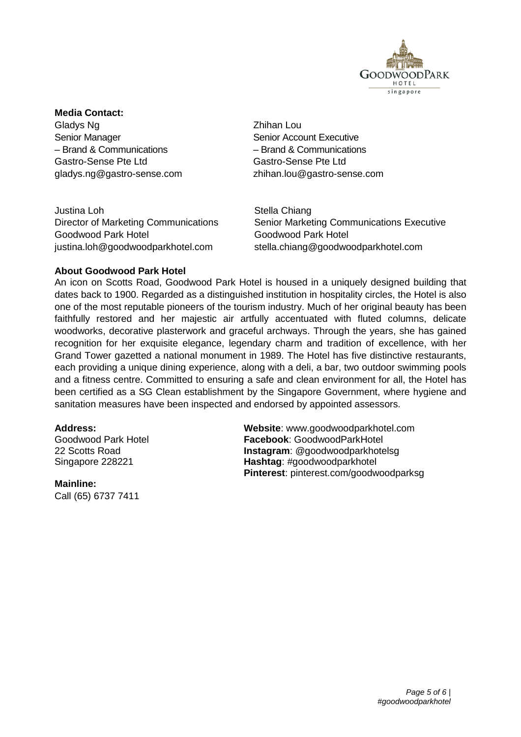

#### **Media Contact:**

Gladys Ng Zhihan Lou Senior Manager Senior Account Executive – Brand & Communications – Brand & Communications Gastro-Sense Pte Ltd Gastro-Sense Pte Ltd

gladys.ng@gastro-sense.com zhihan.lou@gastro-sense.com

Justina Loh Stella Chiang Goodwood Park Hotel Goodwood Park Hotel

Director of Marketing Communications Senior Marketing Communications Executive justina.loh@goodwoodparkhotel.com stella.chiang@goodwoodparkhotel.com

#### **About Goodwood Park Hotel**

An icon on Scotts Road, Goodwood Park Hotel is housed in a uniquely designed building that dates back to 1900. Regarded as a distinguished institution in hospitality circles, the Hotel is also one of the most reputable pioneers of the tourism industry. Much of her original beauty has been faithfully restored and her majestic air artfully accentuated with fluted columns, delicate woodworks, decorative plasterwork and graceful archways. Through the years, she has gained recognition for her exquisite elegance, legendary charm and tradition of excellence, with her Grand Tower gazetted a national monument in 1989. The Hotel has five distinctive restaurants, each providing a unique dining experience, along with a deli, a bar, two outdoor swimming pools and a fitness centre. Committed to ensuring a safe and clean environment for all, the Hotel has been certified as a SG Clean establishment by the Singapore Government, where hygiene and sanitation measures have been inspected and endorsed by appointed assessors.

**Mainline:** Call (65) 6737 7411

**Address: Website**: www.goodwoodparkhotel.com Goodwood Park Hotel **Facebook**: GoodwoodParkHotel 22 Scotts Road **Instagram**: @goodwoodparkhotelsg Singapore 228221 **Hashtag**: #goodwoodparkhotel **Pinterest**: pinterest.com/goodwoodparksg